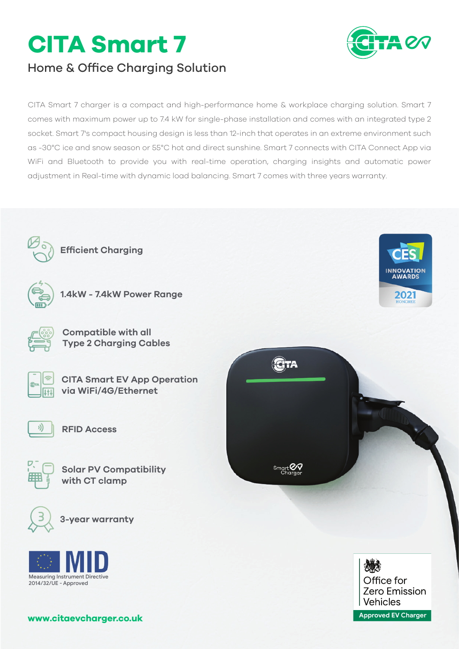# **CITA Smart 7**



**INNOVATION** 

2021

# Home & Office Charging Solution

CITA Smart 7 charger is a compact and high-performance home & workplace charging solution. Smart 7 comes with maximum power up to 7.4 kW for single-phase installation and comes with an integrated type 2 socket. Smart 7's compact housing design is less than 12-inch that operates in an extreme environment such as -30°C ice and snow season or 55°C hot and direct sunshine. Smart 7 connects with CITA Connect App via WiFi and Bluetooth to provide you with real-time operation, charging insights and automatic power adjustment in Real-time with dynamic load balancing. Smart 7 comes with three years warranty.



**Efficient Charging**



**1.4kW - 7.4kW Power Range**



**Compatible with all Type 2 Charging Cables**



**CITA Smart EV App Operation via WiFi/4G/Ethernet**



**RFID Access**



**Solar PV Compatibility with CT clamp**









**www.citaevcharger.co.uk**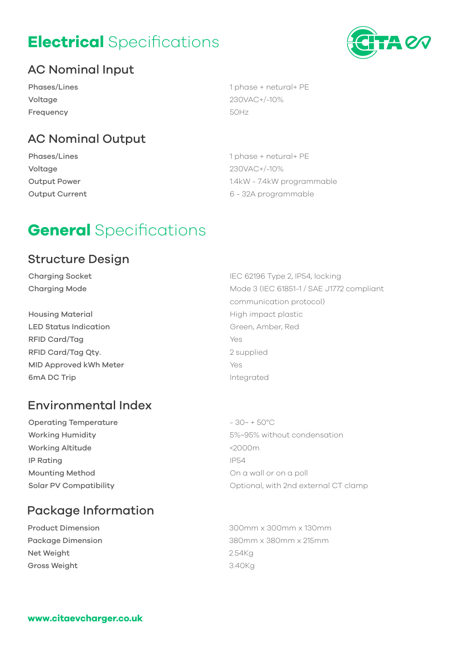# **Electrical** Specifications



# AC Nominal Input

Phases/Lines Voltage Frequency

1 phase + netural+ PE 230VAC+/-10% 50Hz

# AC Nominal Output

Phases/Lines Voltage Output Power Output Current 1 phase + netural+ PE 230VAC+/-10% 1.4kW - 7.4kW programmable 6 - 32A programmable

# **General** Specifications

### Structure Design

Charging Socket Charging Mode

Housing Material LED Status Indication RFID Card/Tag RFID Card/Tag Qty. MID Approved kWh Meter 6mA DC Trip

# Environmental Index

Operating Temperature Working Humidity Working Altitude IP Rating Mounting Method Solar PV Compatibility

5%~95% without condensation <2000m IP54 On a wall or on a poll Optional, with 2nd external CT clamp

 $-30 - +50^{\circ}$ C

# Package Information

Product Dimension Package Dimension Net Weight Gross Weight

300mm x 300mm x 130mm 380mm x 380mm x 215mm 2.54Kg 3.40Kg

IEC 62196 Type 2, IP54, locking Mode 3 (IEC 61851-1 / SAE J1772 compliant communication protocol) High impact plastic Green, Amber, Red Yes 2 supplied Yes Integrated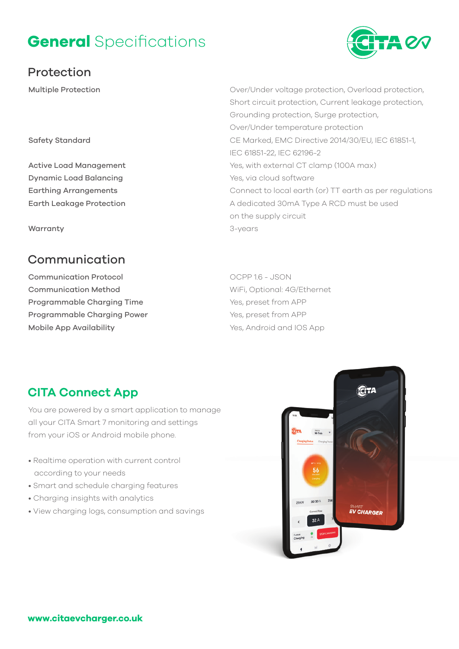# **General** Specifications

## Protection

Multiple Protection

#### Safety Standard

Active Load Management Dynamic Load Balancing Earthing Arrangements Earth Leakage Protection

**Warranty** 

## **Communication**

Communication Protocol Communication Method Programmable Charging Time Programmable Charging Power Mobile App Availability

### Over/Under voltage protection, Overload protection, Short circuit protection, Current leakage protection, Grounding protection, Surge protection, Over/Under temperature protection CE Marked, EMC Directive 2014/30/EU, IEC 61851-1, IEC 61851-22, IEC 62196-2 Yes, with external CT clamp (100A max) Yes, via cloud software Connect to local earth (or) TT earth as per regulations A dedicated 30mA Type A RCD must be used on the supply circuit 3-years

OCPP 1.6 - JSON WiFi, Optional: 4G/Ethernet Yes, preset from APP Yes, preset from APP Yes, Android and IOS App

# **CITA Connect App**

You are powered by a smart application to manage all your CITA Smart 7 monitoring and settings from your iOS or Android mobile phone.

- Realtime operation with current control according to your needs
- Smart and schedule charging features
- Charging insights with analytics
- View charging logs, consumption and savings